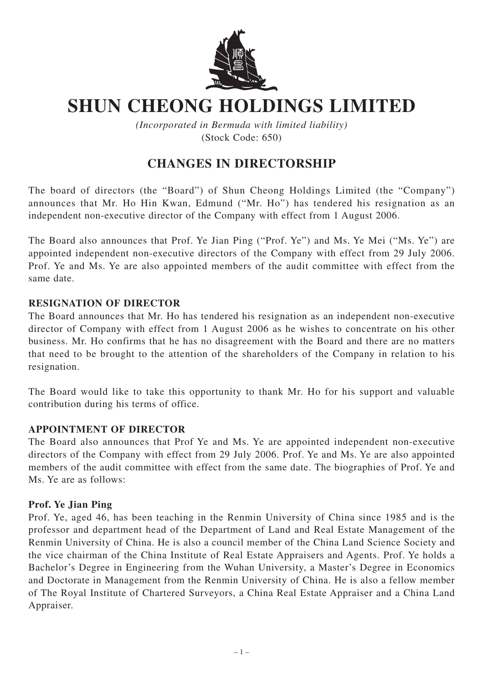

# **SHUN CHEONG HOLDINGS LIMITED**

*(Incorporated in Bermuda with limited liability)* (Stock Code: 650)

## **CHANGES IN DIRECTORSHIP**

The board of directors (the "Board") of Shun Cheong Holdings Limited (the "Company") announces that Mr. Ho Hin Kwan, Edmund ("Mr. Ho") has tendered his resignation as an independent non-executive director of the Company with effect from 1 August 2006.

The Board also announces that Prof. Ye Jian Ping ("Prof. Ye") and Ms. Ye Mei ("Ms. Ye") are appointed independent non-executive directors of the Company with effect from 29 July 2006. Prof. Ye and Ms. Ye are also appointed members of the audit committee with effect from the same date.

#### **RESIGNATION OF DIRECTOR**

The Board announces that Mr. Ho has tendered his resignation as an independent non-executive director of Company with effect from 1 August 2006 as he wishes to concentrate on his other business. Mr. Ho confirms that he has no disagreement with the Board and there are no matters that need to be brought to the attention of the shareholders of the Company in relation to his resignation.

The Board would like to take this opportunity to thank Mr. Ho for his support and valuable contribution during his terms of office.

#### **APPOINTMENT OF DIRECTOR**

The Board also announces that Prof Ye and Ms. Ye are appointed independent non-executive directors of the Company with effect from 29 July 2006. Prof. Ye and Ms. Ye are also appointed members of the audit committee with effect from the same date. The biographies of Prof. Ye and Ms. Ye are as follows:

#### **Prof. Ye Jian Ping**

Prof. Ye, aged 46, has been teaching in the Renmin University of China since 1985 and is the professor and department head of the Department of Land and Real Estate Management of the Renmin University of China. He is also a council member of the China Land Science Society and the vice chairman of the China Institute of Real Estate Appraisers and Agents. Prof. Ye holds a Bachelor's Degree in Engineering from the Wuhan University, a Master's Degree in Economics and Doctorate in Management from the Renmin University of China. He is also a fellow member of The Royal Institute of Chartered Surveyors, a China Real Estate Appraiser and a China Land Appraiser.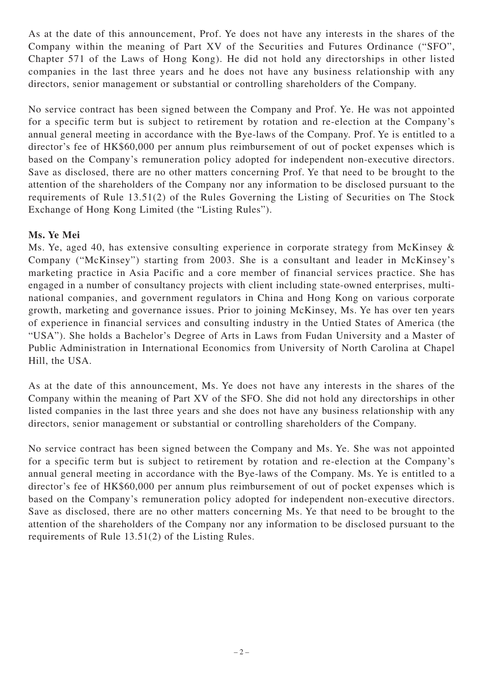As at the date of this announcement, Prof. Ye does not have any interests in the shares of the Company within the meaning of Part XV of the Securities and Futures Ordinance ("SFO", Chapter 571 of the Laws of Hong Kong). He did not hold any directorships in other listed companies in the last three years and he does not have any business relationship with any directors, senior management or substantial or controlling shareholders of the Company.

No service contract has been signed between the Company and Prof. Ye. He was not appointed for a specific term but is subject to retirement by rotation and re-election at the Company's annual general meeting in accordance with the Bye-laws of the Company. Prof. Ye is entitled to a director's fee of HK\$60,000 per annum plus reimbursement of out of pocket expenses which is based on the Company's remuneration policy adopted for independent non-executive directors. Save as disclosed, there are no other matters concerning Prof. Ye that need to be brought to the attention of the shareholders of the Company nor any information to be disclosed pursuant to the requirements of Rule 13.51(2) of the Rules Governing the Listing of Securities on The Stock Exchange of Hong Kong Limited (the "Listing Rules").

### **Ms. Ye Mei**

Ms. Ye, aged 40, has extensive consulting experience in corporate strategy from McKinsey & Company ("McKinsey") starting from 2003. She is a consultant and leader in McKinsey's marketing practice in Asia Pacific and a core member of financial services practice. She has engaged in a number of consultancy projects with client including state-owned enterprises, multinational companies, and government regulators in China and Hong Kong on various corporate growth, marketing and governance issues. Prior to joining McKinsey, Ms. Ye has over ten years of experience in financial services and consulting industry in the Untied States of America (the "USA"). She holds a Bachelor's Degree of Arts in Laws from Fudan University and a Master of Public Administration in International Economics from University of North Carolina at Chapel Hill, the USA.

As at the date of this announcement, Ms. Ye does not have any interests in the shares of the Company within the meaning of Part XV of the SFO. She did not hold any directorships in other listed companies in the last three years and she does not have any business relationship with any directors, senior management or substantial or controlling shareholders of the Company.

No service contract has been signed between the Company and Ms. Ye. She was not appointed for a specific term but is subject to retirement by rotation and re-election at the Company's annual general meeting in accordance with the Bye-laws of the Company. Ms. Ye is entitled to a director's fee of HK\$60,000 per annum plus reimbursement of out of pocket expenses which is based on the Company's remuneration policy adopted for independent non-executive directors. Save as disclosed, there are no other matters concerning Ms. Ye that need to be brought to the attention of the shareholders of the Company nor any information to be disclosed pursuant to the requirements of Rule 13.51(2) of the Listing Rules.